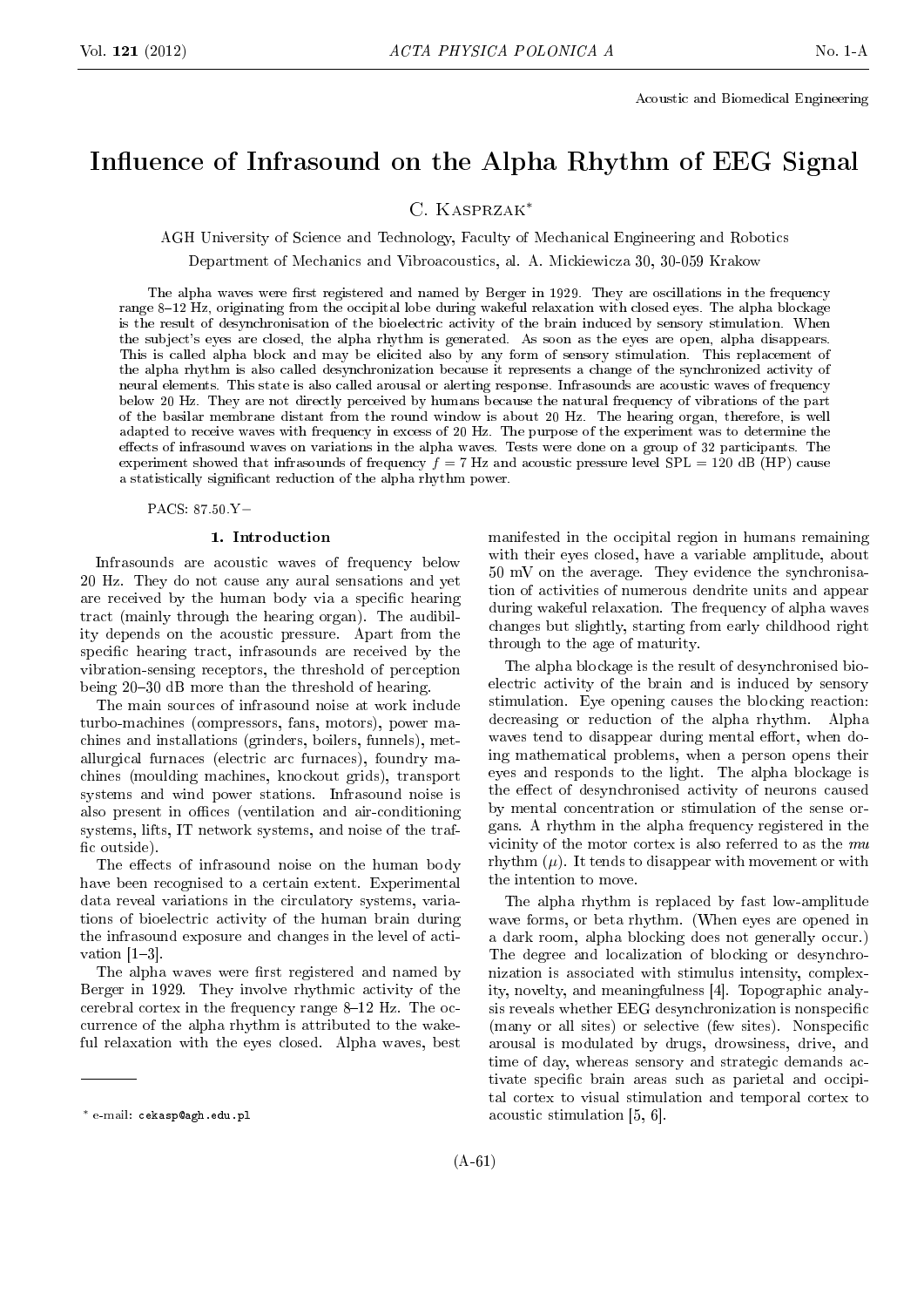# Influence of Infrasound on the Alpha Rhythm of EEG Signal

C. Kasprzak*<sup>∗</sup>*

AGH University of Science and Technology, Faculty of Mechanical Engineering and Robotics

Department of Mechanics and Vibroacoustics, al. A. Mickiewicza 30, 30-059 Krakow

The alpha waves were first registered and named by Berger in 1929. They are oscillations in the frequency range 8-12 Hz, originating from the occipital lobe during wakeful relaxation with closed eyes. The alpha blockage is the result of desynchronisation of the bioelectric activity of the brain induced by sensory stimulation. When the subject's eyes are closed, the alpha rhythm is generated. As soon as the eyes are open, alpha disappears. This is called alpha block and may be elicited also by any form of sensory stimulation. This replacement of the alpha rhythm is also called desynchronization because it represents a change of the synchronized activity of neural elements. This state is also called arousal or alerting response. Infrasounds are acoustic waves of frequency below 20 Hz. They are not directly perceived by humans because the natural frequency of vibrations of the part of the basilar membrane distant from the round window is about 20 Hz. The hearing organ, therefore, is well adapted to receive waves with frequency in excess of 20 Hz. The purpose of the experiment was to determine the effects of infrasound waves on variations in the alpha waves. Tests were done on a group of 32 participants. The experiment showed that infrasounds of frequency  $f = 7$  Hz and acoustic pressure level SPL = 120 dB (HP) cause a statistically signicant reduction of the alpha rhythm power.

PACS: 87.50.Y*−*

## 1. Introduction

Infrasounds are acoustic waves of frequency below 20 Hz. They do not cause any aural sensations and yet are received by the human body via a specific hearing tract (mainly through the hearing organ). The audibility depends on the acoustic pressure. Apart from the specific hearing tract, infrasounds are received by the vibration-sensing receptors, the threshold of perception being 20-30 dB more than the threshold of hearing.

The main sources of infrasound noise at work include turbo-machines (compressors, fans, motors), power machines and installations (grinders, boilers, funnels), metallurgical furnaces (electric arc furnaces), foundry machines (moulding machines, knockout grids), transport systems and wind power stations. Infrasound noise is also present in offices (ventilation and air-conditioning systems, lifts, IT network systems, and noise of the traf fic outside).

The effects of infrasound noise on the human body have been recognised to a certain extent. Experimental data reveal variations in the circulatory systems, variations of bioelectric activity of the human brain during the infrasound exposure and changes in the level of activation  $[1-3]$ .

The alpha waves were first registered and named by Berger in 1929. They involve rhythmic activity of the cerebral cortex in the frequency range  $8-12$  Hz. The occurrence of the alpha rhythm is attributed to the wakeful relaxation with the eyes closed. Alpha waves, best

manifested in the occipital region in humans remaining with their eyes closed, have a variable amplitude, about 50 mV on the average. They evidence the synchronisation of activities of numerous dendrite units and appear during wakeful relaxation. The frequency of alpha waves changes but slightly, starting from early childhood right through to the age of maturity.

The alpha blockage is the result of desynchronised bioelectric activity of the brain and is induced by sensory stimulation. Eye opening causes the blocking reaction: decreasing or reduction of the alpha rhythm. Alpha waves tend to disappear during mental effort, when doing mathematical problems, when a person opens their eyes and responds to the light. The alpha blockage is the effect of desynchronised activity of neurons caused by mental concentration or stimulation of the sense organs. A rhythm in the alpha frequency registered in the vicinity of the motor cortex is also referred to as the mu rhythm  $(\mu)$ . It tends to disappear with movement or with the intention to move.

The alpha rhythm is replaced by fast low-amplitude wave forms, or beta rhythm. (When eyes are opened in a dark room, alpha blocking does not generally occur.) The degree and localization of blocking or desynchronization is associated with stimulus intensity, complexity, novelty, and meaningfulness [4]. Topographic analysis reveals whether EEG desynchronization is nonspecific (many or all sites) or selective (few sites). Nonspecific arousal is modulated by drugs, drowsiness, drive, and time of day, whereas sensory and strategic demands activate specific brain areas such as parietal and occipital cortex to visual stimulation and temporal cortex to acoustic stimulation [5, 6].

*<sup>∗</sup>* e-mail: cekasp@agh.edu.pl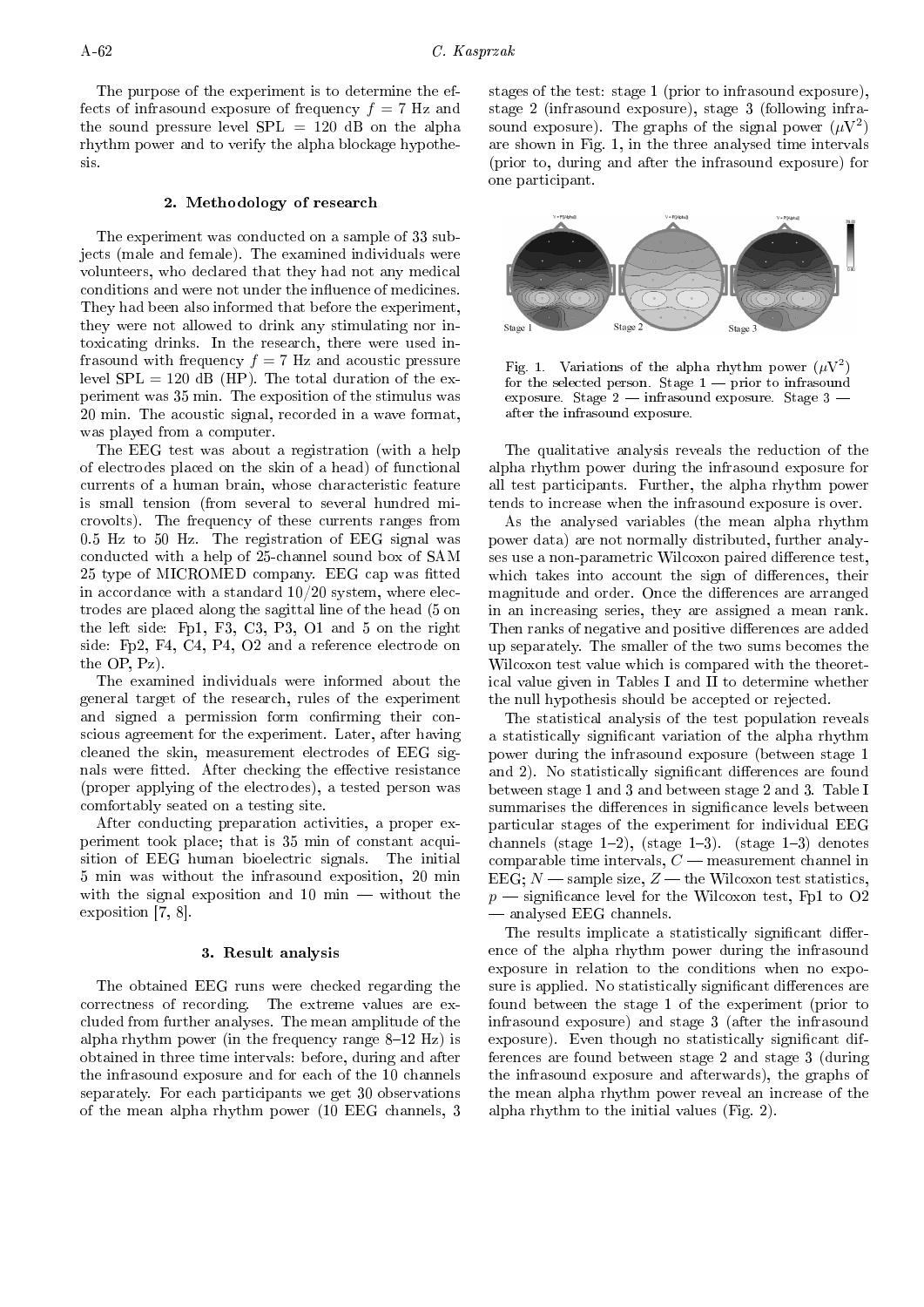The purpose of the experiment is to determine the effects of infrasound exposure of frequency  $f = 7$  Hz and the sound pressure level  $SPL = 120$  dB on the alpha rhythm power and to verify the alpha blockage hypothesis.

### 2. Methodology of research

The experiment was conducted on a sample of 33 subjects (male and female). The examined individuals were volunteers, who declared that they had not any medical conditions and were not under the influence of medicines. They had been also informed that before the experiment, they were not allowed to drink any stimulating nor intoxicating drinks. In the research, there were used infrasound with frequency  $f = 7$  Hz and acoustic pressure level  $SPL = 120$  dB (HP). The total duration of the experiment was 35 min. The exposition of the stimulus was 20 min. The acoustic signal, recorded in a wave format, was played from a computer.

The EEG test was about a registration (with a help of electrodes placed on the skin of a head) of functional currents of a human brain, whose characteristic feature is small tension (from several to several hundred microvolts). The frequency of these currents ranges from 0.5 Hz to 50 Hz. The registration of EEG signal was conducted with a help of 25-channel sound box of SAM 25 type of MICROMED company. EEG cap was tted in accordance with a standard  $10/20$  system, where electrodes are placed along the sagittal line of the head (5 on the left side: Fp1, F3, C3, P3, O1 and 5 on the right side: Fp2, F4, C4, P4, O2 and a reference electrode on the OP, Pz).

The examined individuals were informed about the general target of the research, rules of the experiment and signed a permission form confirming their conscious agreement for the experiment. Later, after having cleaned the skin, measurement electrodes of EEG signals were fitted. After checking the effective resistance (proper applying of the electrodes), a tested person was comfortably seated on a testing site.

After conducting preparation activities, a proper experiment took place; that is 35 min of constant acquisition of EEG human bioelectric signals. The initial 5 min was without the infrasound exposition, 20 min with the signal exposition and  $10 \text{ min}$  – without the exposition [7, 8].

#### 3. Result analysis

The obtained EEG runs were checked regarding the correctness of recording. The extreme values are excluded from further analyses. The mean amplitude of the alpha rhythm power (in the frequency range  $8-12$  Hz) is obtained in three time intervals: before, during and after the infrasound exposure and for each of the 10 channels separately. For each participants we get 30 observations of the mean alpha rhythm power (10 EEG channels, 3

stages of the test: stage 1 (prior to infrasound exposure), stage 2 (infrasound exposure), stage 3 (following infrasound exposure). The graphs of the signal power  $(\mu V^2)$ are shown in Fig. 1, in the three analysed time intervals (prior to, during and after the infrasound exposure) for one participant.



Fig. 1. Variations of the alpha rhythm power  $(\mu V^2)$ for the selected person. Stage  $1$  - prior to infrasound exposure. Stage  $2$  - infrasound exposure. Stage  $3$ after the infrasound exposure.

The qualitative analysis reveals the reduction of the alpha rhythm power during the infrasound exposure for all test participants. Further, the alpha rhythm power tends to increase when the infrasound exposure is over.

As the analysed variables (the mean alpha rhythm power data) are not normally distributed, further analyses use a non-parametric Wilcoxon paired difference test. which takes into account the sign of differences, their magnitude and order. Once the differences are arranged in an increasing series, they are assigned a mean rank. Then ranks of negative and positive differences are added up separately. The smaller of the two sums becomes the Wilcoxon test value which is compared with the theoretical value given in Tables I and II to determine whether the null hypothesis should be accepted or rejected.

The statistical analysis of the test population reveals a statistically signicant variation of the alpha rhythm power during the infrasound exposure (between stage 1 and 2). No statistically significant differences are found between stage 1 and 3 and between stage 2 and 3. Table I summarises the differences in significance levels between particular stages of the experiment for individual EEG channels (stage  $1-2$ ), (stage  $1-3$ ). (stage  $1-3$ ) denotes comparable time intervals,  $C$  — measurement channel in EEG;  $N$   $-$  sample size,  $Z$   $-$  the Wilcoxon test statistics,  $p$   $\sim$  significance level for the Wilcoxon test, Fp1 to O2 analysed EEG channels.

The results implicate a statistically significant difference of the alpha rhythm power during the infrasound exposure in relation to the conditions when no exposure is applied. No statistically significant differences are found between the stage 1 of the experiment (prior to infrasound exposure) and stage 3 (after the infrasound exposure). Even though no statistically significant differences are found between stage 2 and stage 3 (during the infrasound exposure and afterwards), the graphs of the mean alpha rhythm power reveal an increase of the alpha rhythm to the initial values (Fig. 2).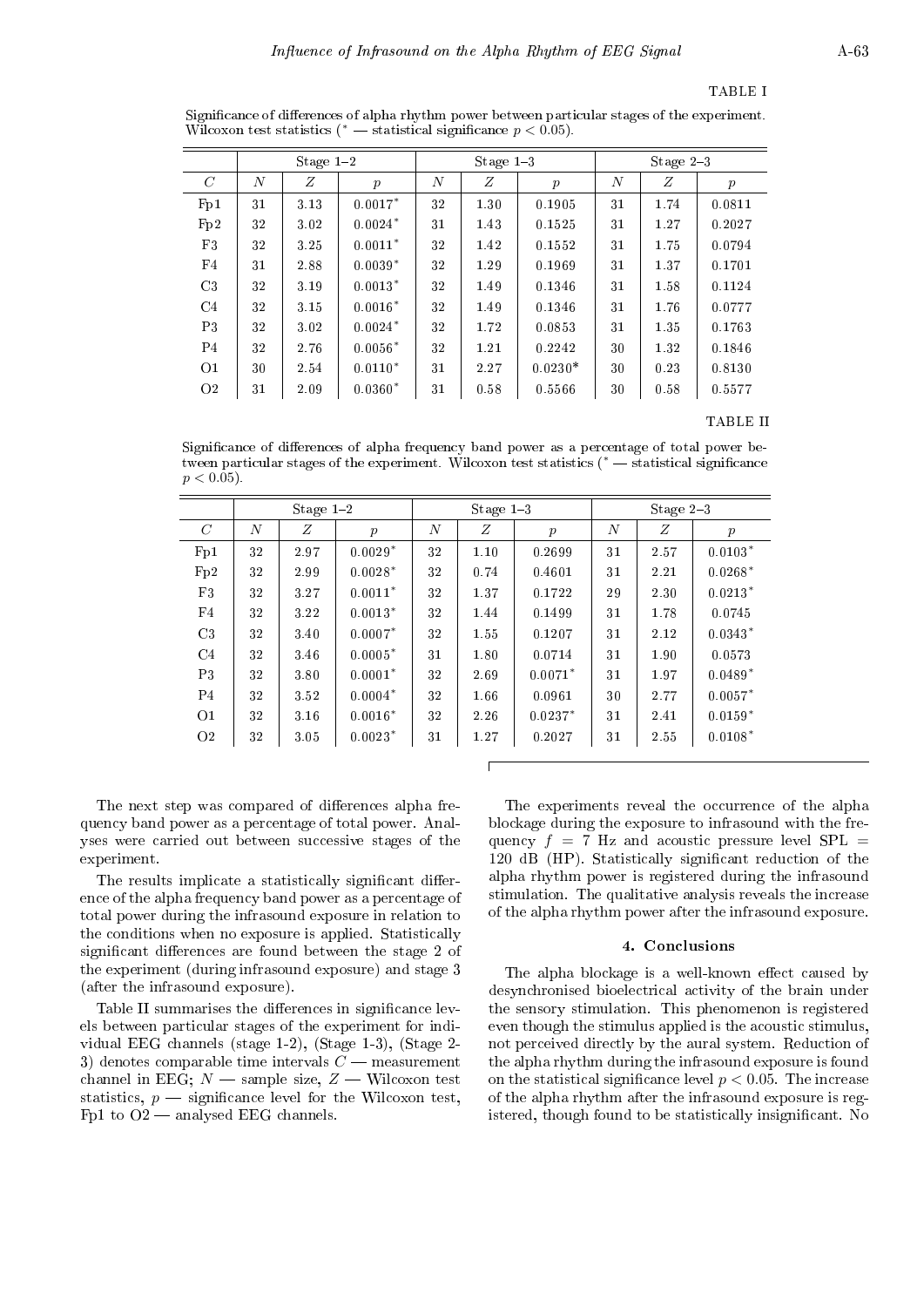#### TABLE I

Significance of differences of alpha rhythm power between particular stages of the experiment. Wilcoxon test statistics ( $*$   $\rightarrow$  statistical significance  $p < 0.05$ ).

|                | Stage $1-2$    |      |                  | Stage $1-3$      |      |                  | Stage $2-3$      |      |                  |
|----------------|----------------|------|------------------|------------------|------|------------------|------------------|------|------------------|
| $\mathcal{C}$  | $\overline{N}$ | Z    | $\boldsymbol{p}$ | $\boldsymbol{N}$ | Z    | $\boldsymbol{p}$ | $\boldsymbol{N}$ | Ζ    | $\boldsymbol{p}$ |
| Fp1            | 31             | 3.13 | $0.0017*$        | 32               | 1.30 | 0.1905           | 31               | 1.74 | 0.0811           |
| Fp2            | 32             | 3.02 | $0.0024*$        | 31               | 1.43 | 0.1525           | 31               | 1.27 | 0.2027           |
| F3             | 32             | 3.25 | $0.0011*$        | 32               | 1.42 | 0.1552           | 31               | 1.75 | 0.0794           |
| F4             | 31             | 2.88 | $0.0039*$        | 32               | 1.29 | 0.1969           | 31               | 1.37 | 0.1701           |
| C <sub>3</sub> | 32             | 3.19 | $0.0013*$        | 32               | 1.49 | 0.1346           | 31               | 1.58 | 0.1124           |
| C <sub>4</sub> | 32             | 3.15 | $0.0016*$        | 32               | 1.49 | 0.1346           | 31               | 1.76 | 0.0777           |
| P3             | 32             | 3.02 | $0.0024*$        | 32               | 1.72 | 0.0853           | 31               | 1.35 | 0.1763           |
| P <sub>4</sub> | 32             | 2.76 | $0.0056*$        | 32               | 1.21 | 0.2242           | 30               | 1.32 | 0.1846           |
| O <sub>1</sub> | 30             | 2.54 | $0.0110*$        | 31               | 2.27 | $0.0230*$        | 30               | 0.23 | 0.8130           |
| O <sub>2</sub> | 31             | 2.09 | $0.0360*$        | 31               | 0.58 | 0.5566           | 30               | 0.58 | 0.5577           |
|                |                |      |                  |                  |      |                  |                  |      |                  |

TABLE II

Significance of differences of alpha frequency band power as a percentage of total power between particular stages of the experiment. Wilcoxon test statistics ( $*$  - statistical significance  $p < 0.05$ ).

|                | Stage $1-2$    |      |                  | Stage $1-3$ |      |                  | Stage $2-3$      |      |                  |
|----------------|----------------|------|------------------|-------------|------|------------------|------------------|------|------------------|
| $\mathcal{C}$  | $\overline{N}$ | Ζ    | $\boldsymbol{p}$ | $\cal N$    | Ζ    | $\boldsymbol{p}$ | $\boldsymbol{N}$ | Ζ    | $\boldsymbol{p}$ |
| Fp1            | 32             | 2.97 | $0.0029*$        | 32          | 1.10 | 0.2699           | 31               | 2.57 | $0.0103*$        |
| Fp2            | 32             | 2.99 | $0.0028*$        | 32          | 0.74 | 0.4601           | 31               | 2.21 | $0.0268*$        |
| F3             | 32             | 3.27 | $0.0011*$        | 32          | 1.37 | 0.1722           | 29               | 2.30 | $0.0213*$        |
| F4             | 32             | 3.22 | $0.0013*$        | 32          | 1.44 | 0.1499           | 31               | 1.78 | 0.0745           |
| C <sub>3</sub> | 32             | 3.40 | $0.0007*$        | 32          | 1.55 | 0.1207           | 31               | 2.12 | $0.0343*$        |
| C <sub>4</sub> | 32             | 3.46 | $0.0005*$        | 31          | 1.80 | 0.0714           | 31               | 1.90 | 0.0573           |
| P3             | 32             | 3.80 | $0.0001*$        | 32          | 2.69 | $0.0071*$        | 31               | 1.97 | $0.0489*$        |
| P <sub>4</sub> | 32             | 3.52 | $0.0004*$        | 32          | 1.66 | 0.0961           | 30               | 2.77 | $0.0057*$        |
| O <sub>1</sub> | 32             | 3.16 | $0.0016*$        | 32          | 2.26 | $0.0237*$        | 31               | 2.41 | $0.0159*$        |
| O <sub>2</sub> | 32             | 3.05 | $0.0023*$        | 31          | 1.27 | 0.2027           | 31               | 2.55 | $0.0108*$        |
|                |                |      |                  |             |      |                  |                  |      |                  |

The next step was compared of differences alpha frequency band power as a percentage of total power. Analyses were carried out between successive stages of the experiment.

The results implicate a statistically significant difference of the alpha frequency band power as a percentage of total power during the infrasound exposure in relation to the conditions when no exposure is applied. Statistically significant differences are found between the stage 2 of the experiment (during infrasound exposure) and stage 3 (after the infrasound exposure).

Table II summarises the differences in significance levels between particular stages of the experiment for individual EEG channels (stage 1-2), (Stage 1-3), (Stage 2- 3) denotes comparable time intervals  $C$  — measurement channel in EEG;  $N$  - sample size,  $Z$  - Wilcoxon test statistics,  $p$  — significance level for the Wilcoxon test, Fp1 to  $O2$  — analysed EEG channels.

The experiments reveal the occurrence of the alpha blockage during the exposure to infrasound with the frequency  $f = 7$  Hz and acoustic pressure level SPL = 120 dB (HP). Statistically signicant reduction of the alpha rhythm power is registered during the infrasound stimulation. The qualitative analysis reveals the increase of the alpha rhythm power after the infrasound exposure.

#### 4. Conclusions

The alpha blockage is a well-known effect caused by desynchronised bioelectrical activity of the brain under the sensory stimulation. This phenomenon is registered even though the stimulus applied is the acoustic stimulus, not perceived directly by the aural system. Reduction of the alpha rhythm during the infrasound exposure is found on the statistical significance level  $p < 0.05$ . The increase of the alpha rhythm after the infrasound exposure is registered, though found to be statistically insignificant. No